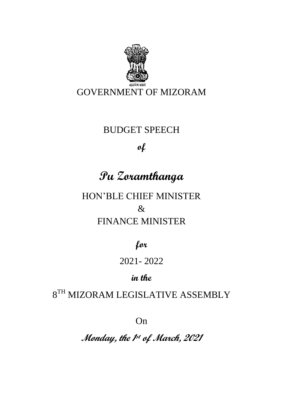

### BUDGET SPEECH

### **of**

# **Pu Zoramthanga**

HON'BLE CHIEF MINISTER & FINANCE MINISTER

**for**

## 2021- 2022

# **in the**

# $8^{TH}$  MIZORAM LEGISLATIVE ASSEMBLY

On

**Monday, the 1 st of March, 2021**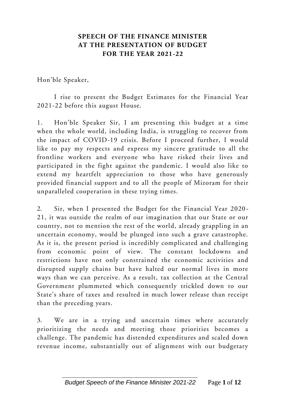#### **SPEECH OF THE FINANCE MINISTER AT THE PRESENTATION OF BUDGET FOR THE YEAR 2021-22**

Hon'ble Speaker,

I rise to present the Budget Estimates for the Financial Year 2021-22 before this august House.

1. Hon'ble Speaker Sir, I am presenting this budget at a time when the whole world, including India, is struggling to recover from the impact of COVID-19 crisis. Before I proceed further, I would like to pay my respects and express my sincere gratitude to all the frontline workers and everyone who have risked their lives and participated in the fight against the pandemic. I would also like to extend my heartfelt appreciation to those who have generously provided financial support and to all the people of Mizoram for their unparalleled cooperation in these trying times.

2. Sir, when I presented the Budget for the Financial Year 2020 - 21, it was outside the realm of our imagination that our State or our country, not to mention the rest of the world, already grappling in an uncertain economy, would be plunged into such a grave catastrophe. As it is, the present period is incredibly complicated and challenging from economic point of view. The constant lockdowns and restrictions have not only constrained the economic activities and disrupted supply chains but have halted our normal lives in more ways than we can perceive. As a result, tax collection at the Central Government plummeted which consequently trickled down to our State's share of taxes and resulted in much lower release than receipt than the preceding years.

3. We are in a trying and uncertain times where accurately prioritizing the needs and meeting those priorities becomes a challenge. The pandemic has distended expenditures and scaled down revenue income, substantially out of alignment with our budgetary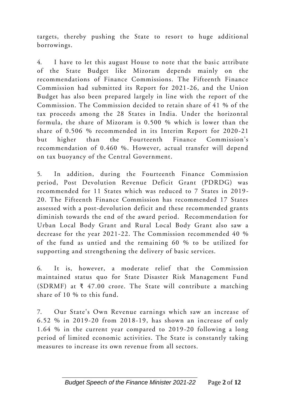targets, thereby pushing the State to resort to huge additional borrowings.

4. I have to let this august House to note that the basic attribute of the State Budget like Mizoram depends mainly on the recommendations of Finance Commissions. The Fifteenth Finance Commission had submitted its Report for 2021-26, and the Union Budget has also been prepared largely in line with the report of the Commission. The Commission decided to retain share of 41 % of the tax proceeds among the 28 States in India. Under the horizontal formula, the share of Mizoram is 0.500 % which is lower than the share of 0.506 % recommended in its Interim Report for 2020-21 but higher than the Fourteenth Finance Commission's recommendation of 0.460 %. However, actual transfer will depend on tax buoyancy of the Central Government.

5. In addition, during the Fourteenth Finance Commission period, Post Devolution Revenue Deficit Grant (PDRDG) was recommended for 11 States which was reduced to 7 States in 2019 - 20. The Fifteenth Finance Commission has recommended 17 States assessed with a post-devolution deficit and these recommended grants diminish towards the end of the award period. Recommendation for Urban Local Body Grant and Rural Local Body Grant also saw a decrease for the year 2021-22. The Commission recommended 40 % of the fund as untied and the remaining 60 % to be utilized for supporting and strengthening the delivery of basic services.

6. It is, however, a moderate relief that the Commission maintained status quo for State Disaster Risk Management Fund (SDRMF) at  $\bar{x}$  47.00 crore. The State will contribute a matching share of 10 % to this fund.

7. Our State's Own Revenue earnings which saw an increase of 6.52 % in 2019-20 from 2018-19, has shown an increase of only 1.64 % in the current year compared to 2019-20 following a long period of limited economic activities. The State is constantly taking measures to increase its own revenue from all sectors.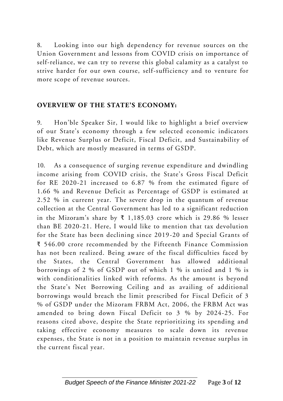8. Looking into our high dependency for revenue sources on the Union Government and lessons from COVID crisis on importance of self-reliance, we can try to reverse this global calamity as a catalyst to strive harder for our own course, self-sufficiency and to venture for more scope of revenue sources.

#### **OVERVIEW OF THE STATE'S ECONOMY:**

9. Hon'ble Speaker Sir, I would like to highlight a brief overview of our State's economy through a few selected economic indicators like Revenue Surplus or Deficit, Fiscal Deficit, and Sustainability of Debt, which are mostly measured in terms of GSDP.

10. As a consequence of surging revenue expenditure and dwindling income arising from COVID crisis, the State's Gross Fiscal Deficit for RE 2020-21 increased to 6.87 % from the estimated figure of 1.66 % and Revenue Deficit as Percentage of GSDP is estimated at 2.52 % in current year. The severe drop in the quantum of revenue collection at the Central Government has led to a significant reduction in the Mizoram's share by  $\bar{x}$  1,185.03 crore which is 29.86 % lesser than BE 2020-21. Here, I would like to mention that tax devolution for the State has been declining since 2019-20 and Special Grants of ₹ 546.00 crore recommended by the Fifteenth Finance Commission has not been realized. Being aware of the fiscal difficulties faced by the States, the Central Government has allowed additional borrowings of 2 % of GSDP out of which 1 % is untied and 1 % is with conditionalities linked with reforms. As the amount is beyond the State's Net Borrowing Ceiling and as availing of additional borrowings would breach the limit prescribed for Fiscal Deficit of 3 % of GSDP under the Mizoram FRBM Act, 2006, the FRBM Act was amended to bring down Fiscal Deficit to 3 % by 2024-25. For reasons cited above, despite the State reprioritizing its spending and taking effective economy measures to scale down its revenue expenses, the State is not in a position to maintain revenue surplus in the current fiscal year.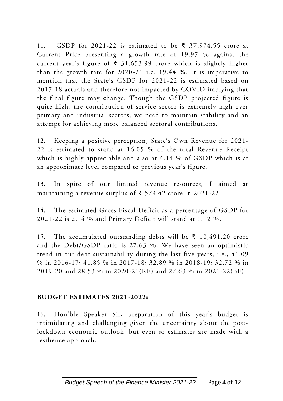11. GSDP for 2021-22 is estimated to be  $\bar{\tau}$  37,974.55 crore at Current Price presenting a growth rate of 19.97 % against the current year's figure of ₹ 31,653.99 crore which is slightly higher than the growth rate for 2020-21 i.e. 19.44 %. It is imperative to mention that the State's GSDP for 2021-22 is estimated based on 2017-18 actuals and therefore not impacted by COVID implying that the final figure may change. Though the GSDP projected figure is quite high, the contribution of service sector is extremely high over primary and industrial sectors, we need to maintain stability and an attempt for achieving more balanced sectoral contributions.

12. Keeping a positive perception, State's Own Revenue for 2021 - 22 is estimated to stand at 16.05 % of the total Revenue Receipt which is highly appreciable and also at  $4.14$  % of GSDP which is at an approximate level compared to previous year's figure.

13. In spite of our limited revenue resources, I aimed at maintaining a revenue surplus of ₹ 579.42 crore in 2021-22.

14. The estimated Gross Fiscal Deficit as a percentage of GSDP for 2021-22 is 2.14 % and Primary Deficit will stand at 1.12 %.

15. The accumulated outstanding debts will be ₹ 10,491.20 crore and the Debt/GSDP ratio is 27.63 %. We have seen an optimistic trend in our debt sustainability during the last five years, i.e., 41.09 % in 2016-17; 41.85 % in 2017-18; 32.89 % in 2018-19; 32.72 % in 2019-20 and 28.53 % in 2020-21(RE) and 27.63 % in 2021-22(BE).

#### **BUDGET ESTIMATES 2021-2022:**

16. Hon'ble Speaker Sir, preparation of this year's budget is intimidating and challenging given the uncertainty about the postlockdown economic outlook, but even so estimates are made with a resilience approach.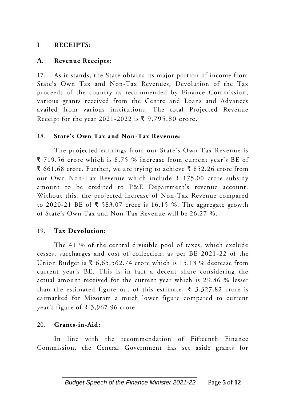#### **I RECEIPTS:**

#### **A. Revenue Receipts:**

17. As it stands, the State obtains its major portion of income from State's Own Tax and Non-Tax Revenues, Devolution of the Tax proceeds of the country as recommended by Finance Commission, various grants received from the Centre and Loans and Advances availed from various institutions. The total Projected Revenue Receipt for the year 2021-2022 is ₹ 9,795.80 crore.

#### 18. **State's Own Tax and Non-Tax Revenue:**

The projected earnings from our State's Own Tax Revenue is ₹ 719.56 crore which is 8.75 % increase from current year's BE of ₹ 661.68 crore. Further, we are trying to achieve ₹ 852.26 crore from our Own Non-Tax Revenue which include ₹ 175.00 crore subsidy amount to be credited to P&E Department's revenue account. Without this, the projected increase of Non-Tax Revenue compared to 2020-21 BE of ₹ 583.07 crore is 16.15 %. The aggregate growth of State's Own Tax and Non-Tax Revenue will be 26.27 %.

#### 19. **Tax Devolution:**

The 41 % of the central divisible pool of taxes, which exclude cesses, surcharges and cost of collection, as per BE 2021-22 of the Union Budget is ₹ 6,65,562.74 crore which is 15.13 % decrease from current year's BE. This is in fact a decent share considering the actual amount received for the current year which is 29.86 % lesser than the estimated figure out of this estimate,  $\bar{\xi}$  3,327.82 crore is earmarked for Mizoram a much lower figure compared to current year's figure of ₹ 3,967.96 crore.

#### 20. **Grants-in-Aid:**

In line with the recommendation of Fifteenth Finance Commission, the Central Government has set aside grants for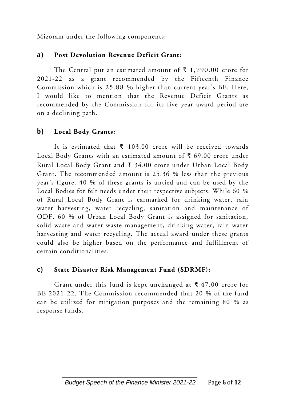Mizoram under the following components:

#### **a) Post Devolution Revenue Deficit Grant:**

The Central put an estimated amount of  $\bar{\tau}$  1,790.00 crore for 2021-22 as a grant recommended by the Fifteenth Finance Commission which is 25.88 % higher than current year's BE. Here, I would like to mention that the Revenue Deficit Grants as recommended by the Commission for its five year award period are on a declining path.

#### **b) Local Body Grants:**

It is estimated that ₹ 103.00 crore will be received towards Local Body Grants with an estimated amount of ₹ 69.00 crore under Rural Local Body Grant and ₹ 34.00 crore under Urban Local Body Grant. The recommended amount is 25.36 % less than the previous year's figure. 40 % of these grants is untied and can be used by the Local Bodies for felt needs under their respective subjects. While 60 % of Rural Local Body Grant is earmarked for drinking water, rain water harvesting, water recycling, sanitation and maintenance of ODF, 60 % of Urban Local Body Grant is assigned for sanitation, solid waste and water waste management, drinking water, rain water harvesting and water recycling. The actual award under these grants could also be higher based on the performance and fulfillment of certain conditionalities.

#### **c) State Disaster Risk Management Fund (SDRMF):**

Grant under this fund is kept unchanged at  $\bar{\tau}$  47.00 crore for BE 2021-22. The Commission recommended that 20 % of the fund can be utilized for mitigation purposes and the remaining 80 % as response funds.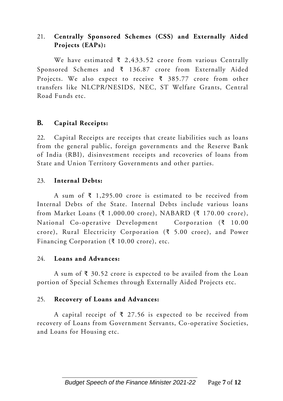#### 21. **Centrally Sponsored Schemes (CSS) and Externally Aided Projects (EAPs):**

We have estimated  $\bar{\tau}$  2,433.52 crore from various Centrally Sponsored Schemes and ₹ 136.87 crore from Externally Aided Projects. We also expect to receive ₹ 385.77 crore from other transfers like NLCPR/NESIDS, NEC, ST Welfare Grants, Central Road Funds etc.

#### **B. Capital Receipts:**

22. Capital Receipts are receipts that create liabilities such as loans from the general public, foreign governments and the Reserve Bank of India (RBI), disinvestment receipts and recoveries of loans from State and Union Territory Governments and other parties.

#### 23. **Internal Debts:**

A sum of ₹ 1,295.00 crore is estimated to be received from Internal Debts of the State. Internal Debts include various loans from Market Loans (₹ 1,000.00 crore), NABARD (₹ 170.00 crore), National Co-operative Development Corporation  $(3 \t 10.00$ crore), Rural Electricity Corporation (₹ 5.00 crore), and Power Financing Corporation (₹ 10.00 crore), etc.

#### 24. **Loans and Advances:**

A sum of ₹ 30.52 crore is expected to be availed from the Loan portion of Special Schemes through Externally Aided Projects etc.

#### 25. **Recovery of Loans and Advances:**

A capital receipt of  $\bar{\xi}$  27.56 is expected to be received from recovery of Loans from Government Servants, Co-operative Societies, and Loans for Housing etc.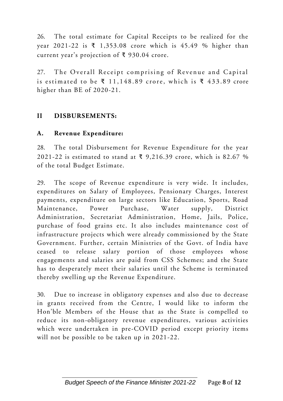26. The total estimate for Capital Receipts to be realized for the year 2021-22 is ₹ 1,353.08 crore which is 45.49 % higher than current year's projection of  $\bar{\xi}$  930.04 crore.

27. The Overall Receipt comprising of Revenue and Capital is estimated to be  $\bar{\xi}$  11,148.89 crore, which is  $\bar{\xi}$  433.89 crore higher than BE of 2020-21.

#### **II DISBURSEMENTS:**

#### **A. Revenue Expenditure:**

28. The total Disbursement for Revenue Expenditure for the year 2021-22 is estimated to stand at  $\bar{x}$  9,216.39 crore, which is 82.67 % of the total Budget Estimate.

29. The scope of Revenue expenditure is very wide. It includes, expenditures on Salary of Employees, Pensionary Charges, Interest payments, expenditure on large sectors like Education, Sports, Road Maintenance, Power Purchase, Water supply, District Administration, Secretariat Administration, Home, Jails, Police, purchase of food grains etc. It also includes maintenance cost of infrastructure projects which were already commissioned by the State Government. Further, certain Ministries of the Govt. of India have ceased to release salary portion of those employees whose engagements and salaries are paid from CSS Schemes; and the State has to desperately meet their salaries until the Scheme is terminated thereby swelling up the Revenue Expenditure.

30. Due to increase in obligatory expenses and also due to decrease in grants received from the Centre, I would like to inform the Hon'ble Members of the House that as the State is compelled to reduce its non-obligatory revenue expenditures, various activities which were undertaken in pre-COVID period except priority items will not be possible to be taken up in 2021-22.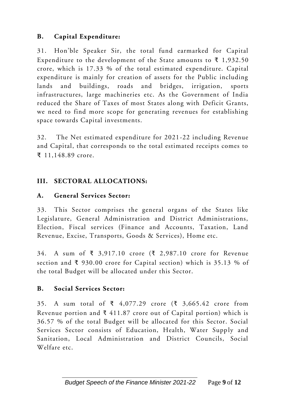#### **B. Capital Expenditure:**

31. Hon'ble Speaker Sir, the total fund earmarked for Capital Expenditure to the development of the State amounts to  $\bar{\tau}$  1,932.50 crore, which is 17.33 % of the total estimated expenditure. Capital expenditure is mainly for creation of assets for the Public including lands and buildings, roads and bridges, irrigation, sports infrastructures, large machineries etc. As the Government of India reduced the Share of Taxes of most States along with Deficit Grants, we need to find more scope for generating revenues for establishing space towards Capital investments.

32. The Net estimated expenditure for 2021-22 including Revenue and Capital, that corresponds to the total estimated receipts comes to ₹ 11,148.89 crore.

#### **III. SECTORAL ALLOCATIONS:**

#### **A. General Services Sector:**

33. This Sector comprises the general organs of the States like Legislature, General Administration and District Administrations, Election, Fiscal services (Finance and Accounts, Taxation, Land Revenue, Excise, Transports, Goods & Services), Home etc.

34. A sum of ₹ 3,917.10 crore (₹ 2,987.10 crore for Revenue section and ₹ 930.00 crore for Capital section) which is 35.13 % of the total Budget will be allocated under this Sector.

#### **B. Social Services Sector:**

35. A sum total of ₹ 4,077.29 crore (₹ 3,665.42 crore from Revenue portion and  $\bar{\xi}$  411.87 crore out of Capital portion) which is 36.57 % of the total Budget will be allocated for this Sector. Social Services Sector consists of Education, Health, Water Supply and Sanitation, Local Administration and District Councils, Social Welfare etc.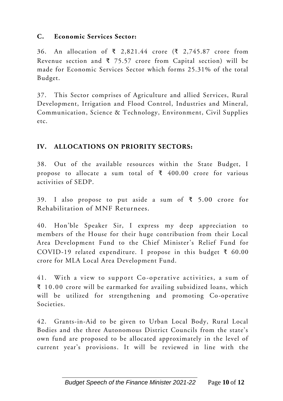#### **C. Economic Services Sector:**

36. An allocation of ₹ 2,821.44 crore (₹ 2,745.87 crore from Revenue section and  $\bar{\tau}$  75.57 crore from Capital section) will be made for Economic Services Sector which forms 25.31% of the total Budget.

37. This Sector comprises of Agriculture and allied Services, Rural Development, Irrigation and Flood Control, Industries and Mineral, Communication, Science & Technology, Environment, Civil Supplies etc.

#### **IV. ALLOCATIONS ON PRIORITY SECTORS:**

38. Out of the available resources within the State Budget, I propose to allocate a sum total of  $\bar{\tau}$  400.00 crore for various activities of SEDP.

39. I also propose to put aside a sum of ₹ 5.00 crore for Rehabilitation of MNF Returnees.

40. Hon'ble Speaker Sir, I express my deep appreciation to members of the House for their huge contribution from their Local Area Development Fund to the Chief Minister's Relief Fund for COVID-19 related expenditure. I propose in this budget ₹ 60.00 crore for MLA Local Area Development Fund.

41. With a view to support Co-operative activities, a sum of ₹ 10.00 crore will be earmarked for availing subsidized loans, which will be utilized for strengthening and promoting Co-operative Societies.

42. Grants-in-Aid to be given to Urban Local Body, Rural Local Bodies and the three Autonomous District Councils from the state's own fund are proposed to be allocated approximately in the level of current year's provisions. It will be reviewed in line with the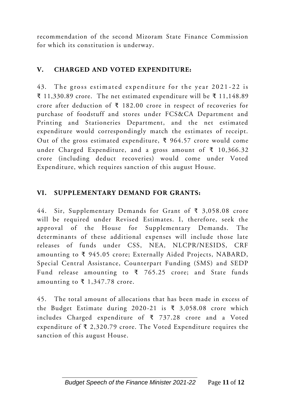recommendation of the second Mizoram State Finance Commission for which its constitution is underway.

#### **V. CHARGED AND VOTED EXPENDITURE:**

43. The gross estimated expenditure for the year 2021-22 is ₹ 11,330.89 crore. The net estimated expenditure will be ₹ 11,148.89 crore after deduction of ₹ 182.00 crore in respect of recoveries for purchase of foodstuff and stores under FCS&CA Department and Printing and Stationeries Department, and the net estimated expenditure would correspondingly match the estimates of receipt. Out of the gross estimated expenditure, ₹ 964.57 crore would come under Charged Expenditure, and a gross amount of ₹ 10,366.32 crore (including deduct recoveries) would come under Voted Expenditure, which requires sanction of this august House.

#### **VI. SUPPLEMENTARY DEMAND FOR GRANTS:**

44. Sir, Supplementary Demands for Grant of ₹ 3,058.08 crore will be required under Revised Estimates. I, therefore, seek the approval of the House for Supplementary Demands. The determinants of these additional expenses will include those late releases of funds under CSS, NEA, NLCPR/NESIDS, CRF amounting to ₹ 945.05 crore; Externally Aided Projects, NABARD, Special Central Assistance, Counterpart Funding (SMS) and SEDP Fund release amounting to  $\bar{x}$  765.25 crore; and State funds amounting to ₹ 1,347.78 crore.

45. The total amount of allocations that has been made in excess of the Budget Estimate during 2020-21 is ₹ 3,058.08 crore which includes Charged expenditure of ₹ 737.28 crore and a Voted expenditure of  $\bar{\xi}$  2,320.79 crore. The Voted Expenditure requires the sanction of this august House.